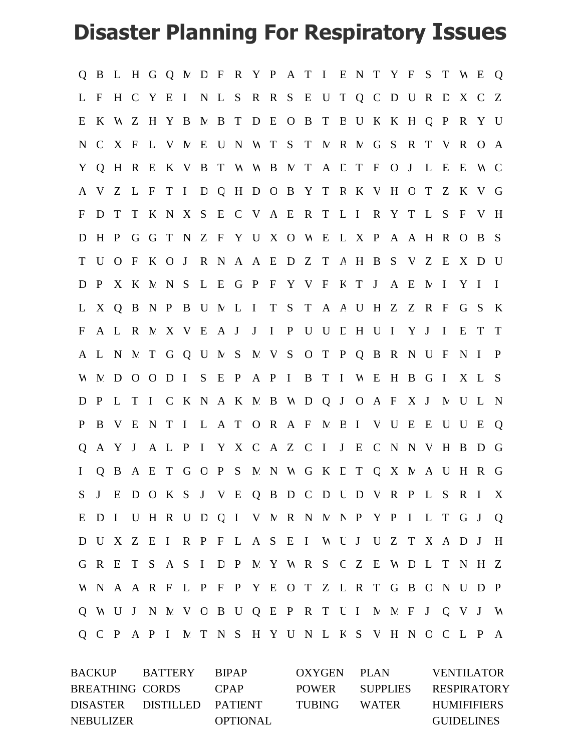## **Disaster Planning For Respiratory Issues**

|                  | Q B L H G Q M D F R Y P A T I E N T Y F S T W E |       |       |           |  |  |  |  |                                             |  |  |     |     |              |              |                                                   | Q            |
|------------------|-------------------------------------------------|-------|-------|-----------|--|--|--|--|---------------------------------------------|--|--|-----|-----|--------------|--------------|---------------------------------------------------|--------------|
| $\mathbf{L}$     | $\mathbf{F}$                                    |       |       | H C Y E I |  |  |  |  | N L S R R S E U T Q C D U R                 |  |  |     |     | $\mathbf{D}$ | X C          |                                                   | Z            |
| E                | $\bf{K}$                                        |       |       |           |  |  |  |  | W Z H Y B N B T D E O B T B U K K H Q P     |  |  |     |     |              | $\mathbf R$  | Y                                                 | U            |
| $N_{\rm}$        | C X F                                           |       |       |           |  |  |  |  | L V M E U N W T S T M R M G S R             |  |  |     | T V |              | $\mathbf{R}$ | $\overline{O}$                                    | $\mathbf{A}$ |
|                  | Y Q H R E K V B T W W B M T A L T F O J         |       |       |           |  |  |  |  |                                             |  |  |     | L E |              | E            | N C                                               |              |
| A                | $\mathbf V$                                     |       | Z L F |           |  |  |  |  | TI D Q H D O B Y T R K V H O T              |  |  |     |     | Z            | $\mathbf K$  | V G                                               |              |
| F                | D                                               |       |       |           |  |  |  |  | T T K N X S E C V A E R T L I R Y T L S     |  |  |     |     |              | $\mathbf{F}$ | V H                                               |              |
| D                |                                                 |       |       |           |  |  |  |  | H P G G T N Z F Y U X O W E L X P A A H R O |  |  |     |     |              |              | B S                                               |              |
| T U              |                                                 |       |       |           |  |  |  |  | OFKOJRNAAEDZTAHBSVZE                        |  |  |     |     |              |              | X D U                                             |              |
| D                | $\mathbf{P}$                                    |       |       |           |  |  |  |  | X K M N S L E G P F Y V F K T J A E M I     |  |  |     |     |              | Y I          |                                                   | $\mathbf{I}$ |
| $\mathbf{L}$     |                                                 |       |       |           |  |  |  |  | X Q B N P B U M L I T S T A A U H Z Z R F   |  |  |     |     |              |              | G S                                               | K            |
| $\boldsymbol{F}$ |                                                 | A L R |       |           |  |  |  |  | N X V E A J J I P U U L H U I               |  |  | Y J |     | $\mathbf I$  | E            | T                                                 | T            |
|                  | A L N N T G Q U N S N V S O T P Q B R N U F     |       |       |           |  |  |  |  |                                             |  |  |     |     |              | $N$ I        |                                                   | $\mathbf{P}$ |
|                  | W M                                             | D O O |       | $D$ I     |  |  |  |  | S E P A P I B T I W E H                     |  |  | B G |     | $\mathbf{I}$ |              | X L S                                             |              |
| D                | $\mathbf{P}$                                    |       |       |           |  |  |  |  | L T I C K N A K N B W D Q J O A F X J       |  |  |     |     |              | N U L        |                                                   | $\mathbf N$  |
| $\mathbf{P}$     |                                                 | B V E |       |           |  |  |  |  | NTILATORAFMBIVU                             |  |  | E   | E   | $\mathbf{U}$ | U            | E                                                 | Q            |
| Q                |                                                 | A Y J |       |           |  |  |  |  | A L P I Y X C A Z C I J E C N N V H         |  |  |     |     |              | B            | D                                                 | G            |
| $\mathbf{I}$     |                                                 |       |       |           |  |  |  |  |                                             |  |  |     |     |              |              | Q B A E T G O P S M N W G K L T Q X M A U H R G   |              |
|                  |                                                 |       |       |           |  |  |  |  |                                             |  |  |     |     |              |              | S J E D O K S J V E Q B D C D U D V R P L S R I X |              |
|                  |                                                 |       |       |           |  |  |  |  |                                             |  |  |     |     |              |              | E D I U H R U D Q I V M R N M N P Y P I L T G J Q |              |
|                  |                                                 |       |       |           |  |  |  |  |                                             |  |  |     |     |              |              | D U X Z E I R P F L A S E I W U J U Z T X A D J H |              |
|                  |                                                 |       |       |           |  |  |  |  |                                             |  |  |     |     |              |              | G R E T S A S I D P M Y W R S C Z E W D L T N H Z |              |
|                  |                                                 |       |       |           |  |  |  |  |                                             |  |  |     |     |              |              | W N A A R F L P F P Y E O T Z L R T G B O N U D P |              |
|                  |                                                 |       |       |           |  |  |  |  |                                             |  |  |     |     |              |              | Q W U J N M V O B U Q E P R T U I M M F J Q V J W |              |
|                  |                                                 |       |       |           |  |  |  |  |                                             |  |  |     |     |              |              | Q C P A P I M T N S H Y U N L K S V H N O C L P A |              |

BACKUP BATTERY BIPAP OXYGEN PLAN VENTILATOR BREATHING CORDS CPAP POWER SUPPLIES RESPIRATORY DISASTER DISTILLED PATIENT TUBING WATER HUMIFIFIERS NEBULIZER OPTIONAL GUIDELINES